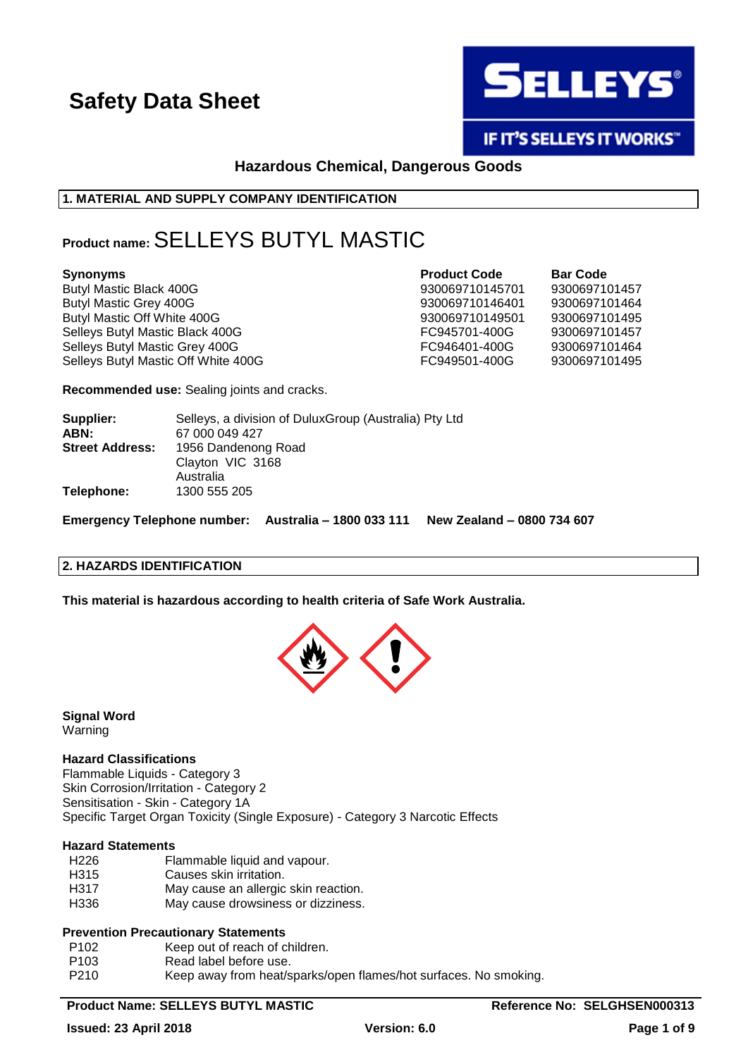

IF IT'S SELLEYS IT WORKS"

### **Hazardous Chemical, Dangerous Goods**

### **1. MATERIAL AND SUPPLY COMPANY IDENTIFICATION**

### **Product name:** SELLEYS BUTYL MASTIC

Butyl Mastic Black 400G 930069710145701 9300697101457 Butyl Mastic Grey 400G 20069710146401 930069710146401 9300697101464 Butyl Mastic Off White 400G 930069710149501 9300697101495 Selleys Butyl Mastic Black 400G FC945701-400G 9300697101457 Selleys Butyl Mastic Grey 400G **FC946401-400G** 9300697101464 Selleys Butyl Mastic Off White 400G **FC949501-400G** 9300697101495

**Synonyms Product Code Bar Code**

**Recommended use:** Sealing joints and cracks.

| Supplier:<br>ABN:      | Selleys, a division of DuluxGroup (Australia) Pty Ltd<br>67 000 049 427 |
|------------------------|-------------------------------------------------------------------------|
| <b>Street Address:</b> | 1956 Dandenong Road<br>Clayton VIC 3168                                 |
|                        | Australia                                                               |
| Telephone:             | 1300 555 205                                                            |

**Emergency Telephone number: Australia – 1800 033 111 New Zealand – 0800 734 607**

### **2. HAZARDS IDENTIFICATION**

**This material is hazardous according to health criteria of Safe Work Australia.**



**Signal Word** Warning

### **Hazard Classifications**

Flammable Liquids - Category 3 Skin Corrosion/Irritation - Category 2 Sensitisation - Skin - Category 1A Specific Target Organ Toxicity (Single Exposure) - Category 3 Narcotic Effects

#### **Hazard Statements**

- H226 Flammable liquid and vapour.
- H315 Causes skin irritation.
- H317 May cause an allergic skin reaction.
- H336 May cause drowsiness or dizziness.

### **Prevention Precautionary Statements**

- P102 Keep out of reach of children.
- P103 Read label before use.
- P210 Keep away from heat/sparks/open flames/hot surfaces. No smoking.

### Product Name: SELLEYS BUTYL MASTIC **Reference No: SELGHSEN000313**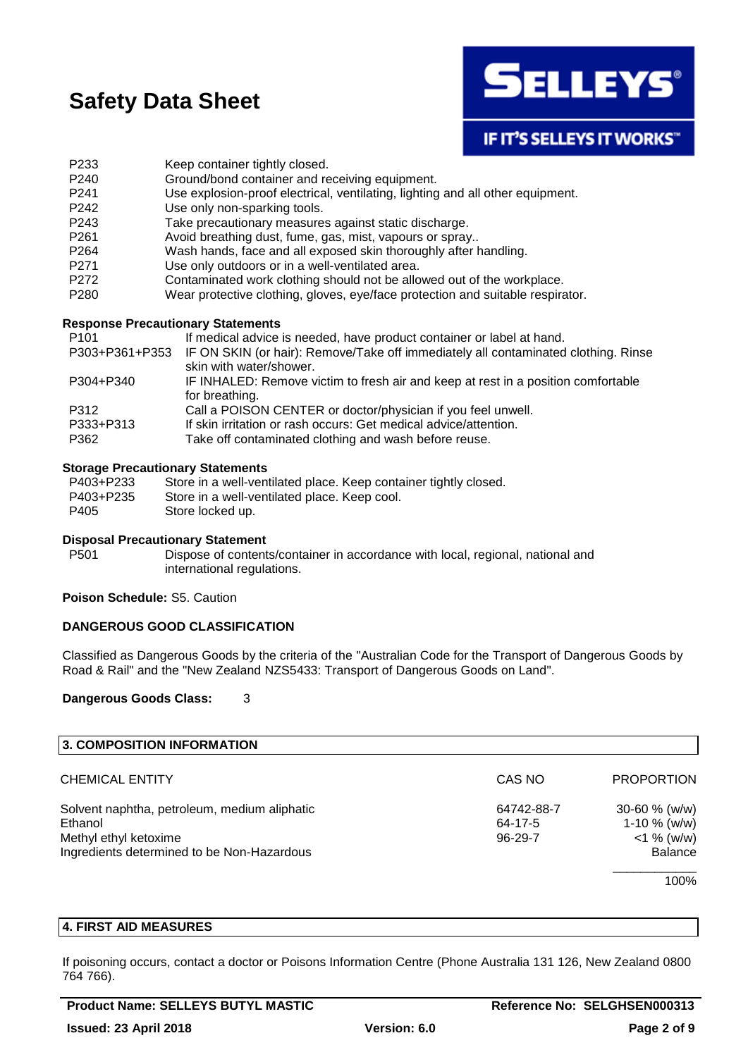

**IF IT'S SELLEYS IT WORKS"** 

- P233 Keep container tightly closed.
- P240 Ground/bond container and receiving equipment.
- P241 Use explosion-proof electrical, ventilating, lighting and all other equipment.
- P242 Use only non-sparking tools.
- P243 Take precautionary measures against static discharge.
- P261 Avoid breathing dust, fume, gas, mist, vapours or spray..
- P264 Wash hands, face and all exposed skin thoroughly after handling.
- P271 Use only outdoors or in a well-ventilated area.
- P272 Contaminated work clothing should not be allowed out of the workplace.
- P280 Wear protective clothing, gloves, eye/face protection and suitable respirator.

### **Response Precautionary Statements**

| P <sub>101</sub> | If medical advice is needed, have product container or label at hand.              |
|------------------|------------------------------------------------------------------------------------|
| P303+P361+P353   | IF ON SKIN (or hair): Remove/Take off immediately all contaminated clothing. Rinse |
|                  | skin with water/shower.                                                            |
| P304+P340        | IF INHALED: Remove victim to fresh air and keep at rest in a position comfortable  |
|                  | for breathing.                                                                     |
| P312             | Call a POISON CENTER or doctor/physician if you feel unwell.                       |
| P333+P313        | If skin irritation or rash occurs: Get medical advice/attention.                   |
| P362             | Take off contaminated clothing and wash before reuse.                              |
|                  |                                                                                    |

### **Storage Precautionary Statements**

| P403+P233 | Store in a well-ventilated place. Keep container tightly closed. |
|-----------|------------------------------------------------------------------|
| P403+P235 | Store in a well-ventilated place. Keep cool.                     |
| P405      | Store locked up.                                                 |

#### **Disposal Precautionary Statement**

P501 Dispose of contents/container in accordance with local, regional, national and international regulations.

### **Poison Schedule:** S5. Caution

### **DANGEROUS GOOD CLASSIFICATION**

Classified as Dangerous Goods by the criteria of the "Australian Code for the Transport of Dangerous Goods by Road & Rail" and the "New Zealand NZS5433: Transport of Dangerous Goods on Land".

### **Dangerous Goods Class:** 3

| <b>3. COMPOSITION INFORMATION</b>            |               |                   |
|----------------------------------------------|---------------|-------------------|
| <b>CHEMICAL ENTITY</b>                       | CAS NO        | <b>PROPORTION</b> |
| Solvent naphtha, petroleum, medium aliphatic | 64742-88-7    | 30-60 $% (w/w)$   |
| Ethanol                                      | 64-17-5       | $1-10 \%$ (w/w)   |
| Methyl ethyl ketoxime                        | $96 - 29 - 7$ | $<$ 1 % (w/w)     |
| Ingredients determined to be Non-Hazardous   |               | <b>Balance</b>    |
|                                              |               | 100%              |

### **4. FIRST AID MEASURES**

If poisoning occurs, contact a doctor or Poisons Information Centre (Phone Australia 131 126, New Zealand 0800 764 766).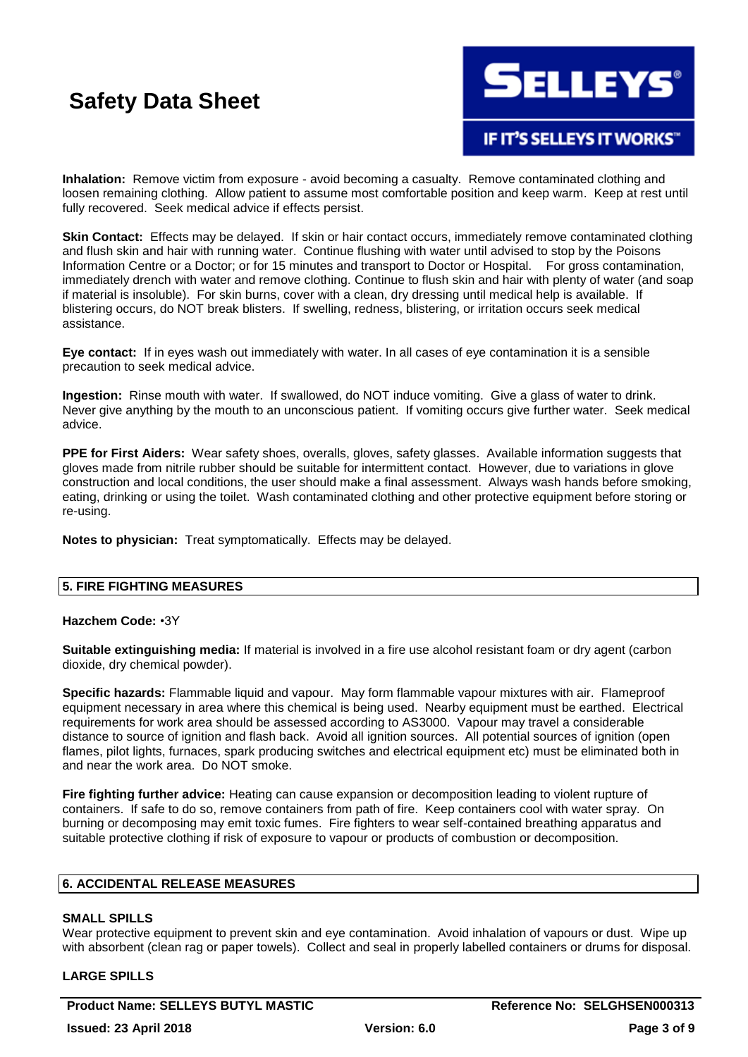

**IF IT'S SELLEYS IT WORKS"** 

**Inhalation:** Remove victim from exposure - avoid becoming a casualty. Remove contaminated clothing and loosen remaining clothing. Allow patient to assume most comfortable position and keep warm. Keep at rest until fully recovered. Seek medical advice if effects persist.

**Skin Contact:** Effects may be delayed. If skin or hair contact occurs, immediately remove contaminated clothing and flush skin and hair with running water. Continue flushing with water until advised to stop by the Poisons Information Centre or a Doctor; or for 15 minutes and transport to Doctor or Hospital. For gross contamination, immediately drench with water and remove clothing. Continue to flush skin and hair with plenty of water (and soap if material is insoluble). For skin burns, cover with a clean, dry dressing until medical help is available. If blistering occurs, do NOT break blisters. If swelling, redness, blistering, or irritation occurs seek medical assistance.

**Eye contact:** If in eyes wash out immediately with water. In all cases of eye contamination it is a sensible precaution to seek medical advice.

**Ingestion:** Rinse mouth with water. If swallowed, do NOT induce vomiting. Give a glass of water to drink. Never give anything by the mouth to an unconscious patient. If vomiting occurs give further water. Seek medical advice.

**PPE for First Aiders:** Wear safety shoes, overalls, gloves, safety glasses. Available information suggests that gloves made from nitrile rubber should be suitable for intermittent contact. However, due to variations in glove construction and local conditions, the user should make a final assessment. Always wash hands before smoking, eating, drinking or using the toilet. Wash contaminated clothing and other protective equipment before storing or re-using.

**Notes to physician:** Treat symptomatically. Effects may be delayed.

### **5. FIRE FIGHTING MEASURES**

#### **Hazchem Code:** •3Y

**Suitable extinguishing media:** If material is involved in a fire use alcohol resistant foam or dry agent (carbon dioxide, dry chemical powder).

**Specific hazards:** Flammable liquid and vapour. May form flammable vapour mixtures with air. Flameproof equipment necessary in area where this chemical is being used. Nearby equipment must be earthed. Electrical requirements for work area should be assessed according to AS3000. Vapour may travel a considerable distance to source of ignition and flash back. Avoid all ignition sources. All potential sources of ignition (open flames, pilot lights, furnaces, spark producing switches and electrical equipment etc) must be eliminated both in and near the work area. Do NOT smoke.

**Fire fighting further advice:** Heating can cause expansion or decomposition leading to violent rupture of containers. If safe to do so, remove containers from path of fire. Keep containers cool with water spray. On burning or decomposing may emit toxic fumes. Fire fighters to wear self-contained breathing apparatus and suitable protective clothing if risk of exposure to vapour or products of combustion or decomposition.

### **6. ACCIDENTAL RELEASE MEASURES**

### **SMALL SPILLS**

Wear protective equipment to prevent skin and eye contamination. Avoid inhalation of vapours or dust. Wipe up with absorbent (clean rag or paper towels). Collect and seal in properly labelled containers or drums for disposal.

### **LARGE SPILLS**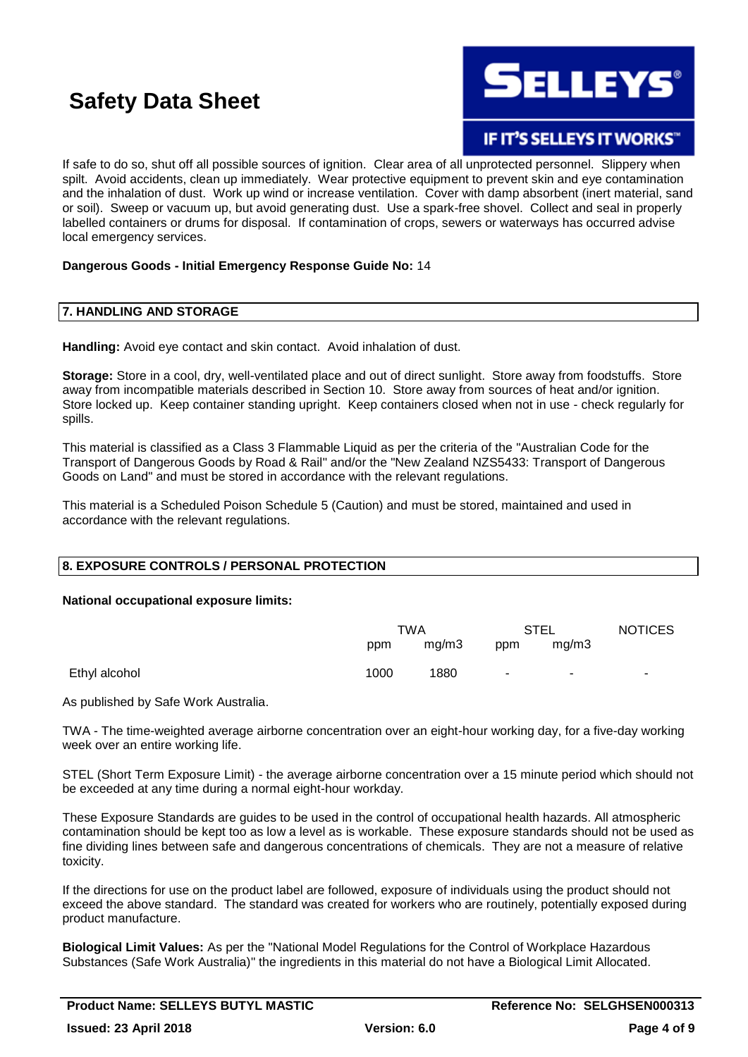

**IF IT'S SELLEYS IT WORKS"** 

If safe to do so, shut off all possible sources of ignition. Clear area of all unprotected personnel. Slippery when spilt. Avoid accidents, clean up immediately. Wear protective equipment to prevent skin and eye contamination and the inhalation of dust. Work up wind or increase ventilation. Cover with damp absorbent (inert material, sand or soil). Sweep or vacuum up, but avoid generating dust. Use a spark-free shovel. Collect and seal in properly labelled containers or drums for disposal. If contamination of crops, sewers or waterways has occurred advise local emergency services.

### **Dangerous Goods - Initial Emergency Response Guide No:** 14

### **7. HANDLING AND STORAGE**

**Handling:** Avoid eye contact and skin contact. Avoid inhalation of dust.

**Storage:** Store in a cool, dry, well-ventilated place and out of direct sunlight. Store away from foodstuffs. Store away from incompatible materials described in Section 10. Store away from sources of heat and/or ignition. Store locked up. Keep container standing upright. Keep containers closed when not in use - check regularly for spills.

This material is classified as a Class 3 Flammable Liquid as per the criteria of the "Australian Code for the Transport of Dangerous Goods by Road & Rail" and/or the "New Zealand NZS5433: Transport of Dangerous Goods on Land" and must be stored in accordance with the relevant regulations.

This material is a Scheduled Poison Schedule 5 (Caution) and must be stored, maintained and used in accordance with the relevant regulations.

### **8. EXPOSURE CONTROLS / PERSONAL PROTECTION**

#### **National occupational exposure limits:**

|               | <b>TWA</b> |       | <b>STEL</b> |                          | <b>NOTICES</b> |
|---------------|------------|-------|-------------|--------------------------|----------------|
|               | ppm        | mg/m3 | ppm         | mq/m3                    |                |
| Ethyl alcohol | 1000       | 1880  | $\sim$      | $\overline{\phantom{a}}$ |                |

As published by Safe Work Australia.

TWA - The time-weighted average airborne concentration over an eight-hour working day, for a five-day working week over an entire working life.

STEL (Short Term Exposure Limit) - the average airborne concentration over a 15 minute period which should not be exceeded at any time during a normal eight-hour workday.

These Exposure Standards are guides to be used in the control of occupational health hazards. All atmospheric contamination should be kept too as low a level as is workable. These exposure standards should not be used as fine dividing lines between safe and dangerous concentrations of chemicals. They are not a measure of relative toxicity.

If the directions for use on the product label are followed, exposure of individuals using the product should not exceed the above standard. The standard was created for workers who are routinely, potentially exposed during product manufacture.

**Biological Limit Values:** As per the "National Model Regulations for the Control of Workplace Hazardous Substances (Safe Work Australia)" the ingredients in this material do not have a Biological Limit Allocated.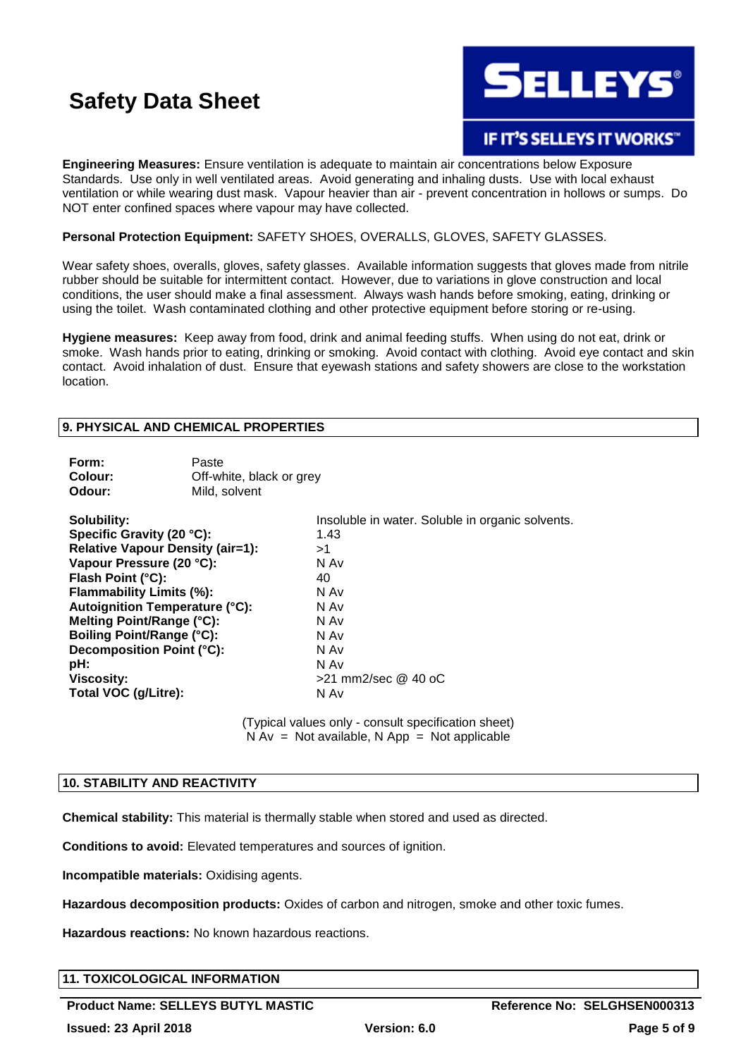

### **IF IT'S SELLEYS IT WORKS"**

**Engineering Measures:** Ensure ventilation is adequate to maintain air concentrations below Exposure Standards. Use only in well ventilated areas. Avoid generating and inhaling dusts. Use with local exhaust ventilation or while wearing dust mask. Vapour heavier than air - prevent concentration in hollows or sumps. Do NOT enter confined spaces where vapour may have collected.

### **Personal Protection Equipment:** SAFETY SHOES, OVERALLS, GLOVES, SAFETY GLASSES.

Wear safety shoes, overalls, gloves, safety glasses. Available information suggests that gloves made from nitrile rubber should be suitable for intermittent contact. However, due to variations in glove construction and local conditions, the user should make a final assessment. Always wash hands before smoking, eating, drinking or using the toilet. Wash contaminated clothing and other protective equipment before storing or re-using.

**Hygiene measures:** Keep away from food, drink and animal feeding stuffs. When using do not eat, drink or smoke. Wash hands prior to eating, drinking or smoking. Avoid contact with clothing. Avoid eye contact and skin contact. Avoid inhalation of dust. Ensure that eyewash stations and safety showers are close to the workstation location.

### **9. PHYSICAL AND CHEMICAL PROPERTIES**

| Form:<br>Colour:<br>Odour:               | Paste<br>Off-white, black or grey<br>Mild, solvent |                                                                                                      |
|------------------------------------------|----------------------------------------------------|------------------------------------------------------------------------------------------------------|
| Solubility:<br>Specific Gravity (20 °C): |                                                    | Insoluble in water. Soluble in organic solvents.<br>1.43                                             |
| <b>Relative Vapour Density (air=1):</b>  |                                                    | >1                                                                                                   |
| Vapour Pressure (20 °C):                 |                                                    | N Av                                                                                                 |
| Flash Point (°C):                        |                                                    | 40                                                                                                   |
| Flammability Limits (%):                 |                                                    | N Av                                                                                                 |
| <b>Autoignition Temperature (°C):</b>    |                                                    | N Av                                                                                                 |
| Melting Point/Range (°C):                |                                                    | N Av                                                                                                 |
| <b>Boiling Point/Range (°C):</b>         |                                                    | N Av                                                                                                 |
| Decomposition Point (°C):                |                                                    | N Av                                                                                                 |
| pH:                                      |                                                    | N Av                                                                                                 |
| Viscosity:                               |                                                    | $>$ 21 mm2/sec @ 40 oC                                                                               |
| Total VOC (g/Litre):                     |                                                    | N Av                                                                                                 |
|                                          |                                                    | (Typical values only - consult specification sheet)<br>$N Av = Not available. N Ap = Not applicable$ |

### **10. STABILITY AND REACTIVITY**

**Chemical stability:** This material is thermally stable when stored and used as directed.

**Conditions to avoid:** Elevated temperatures and sources of ignition.

**Incompatible materials:** Oxidising agents.

**Hazardous decomposition products:** Oxides of carbon and nitrogen, smoke and other toxic fumes.

**Hazardous reactions:** No known hazardous reactions.

### **11. TOXICOLOGICAL INFORMATION**

Product Name: SELLEYS BUTYL MASTIC **Reference No: SELGHSEN000313**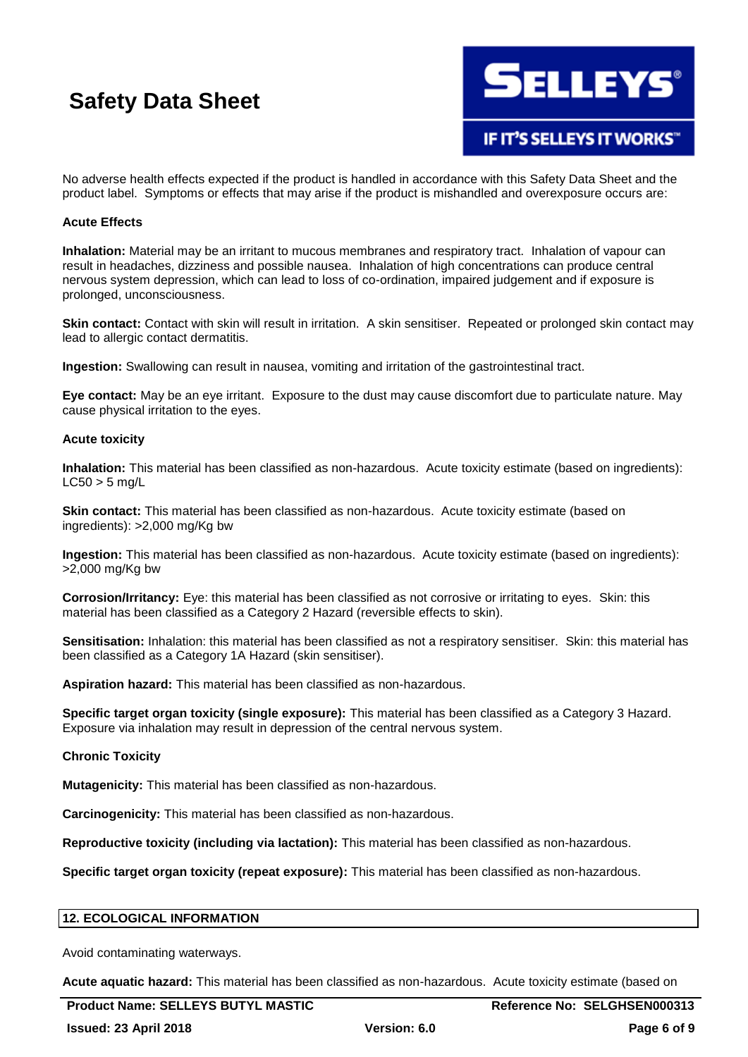

No adverse health effects expected if the product is handled in accordance with this Safety Data Sheet and the product label. Symptoms or effects that may arise if the product is mishandled and overexposure occurs are:

### **Acute Effects**

**Inhalation:** Material may be an irritant to mucous membranes and respiratory tract. Inhalation of vapour can result in headaches, dizziness and possible nausea. Inhalation of high concentrations can produce central nervous system depression, which can lead to loss of co-ordination, impaired judgement and if exposure is prolonged, unconsciousness.

**Skin contact:** Contact with skin will result in irritation. A skin sensitiser. Repeated or prolonged skin contact may lead to allergic contact dermatitis.

**Ingestion:** Swallowing can result in nausea, vomiting and irritation of the gastrointestinal tract.

**Eye contact:** May be an eye irritant. Exposure to the dust may cause discomfort due to particulate nature. May cause physical irritation to the eyes.

### **Acute toxicity**

**Inhalation:** This material has been classified as non-hazardous. Acute toxicity estimate (based on ingredients):  $LC50 > 5$  mg/L

**Skin contact:** This material has been classified as non-hazardous. Acute toxicity estimate (based on ingredients): >2,000 mg/Kg bw

**Ingestion:** This material has been classified as non-hazardous. Acute toxicity estimate (based on ingredients): >2,000 mg/Kg bw

**Corrosion/Irritancy:** Eye: this material has been classified as not corrosive or irritating to eyes. Skin: this material has been classified as a Category 2 Hazard (reversible effects to skin).

**Sensitisation:** Inhalation: this material has been classified as not a respiratory sensitiser. Skin: this material has been classified as a Category 1A Hazard (skin sensitiser).

**Aspiration hazard:** This material has been classified as non-hazardous.

**Specific target organ toxicity (single exposure):** This material has been classified as a Category 3 Hazard. Exposure via inhalation may result in depression of the central nervous system.

#### **Chronic Toxicity**

**Mutagenicity:** This material has been classified as non-hazardous.

**Carcinogenicity:** This material has been classified as non-hazardous.

**Reproductive toxicity (including via lactation):** This material has been classified as non-hazardous.

**Specific target organ toxicity (repeat exposure):** This material has been classified as non-hazardous.

#### **12. ECOLOGICAL INFORMATION**

Avoid contaminating waterways.

**Acute aquatic hazard:** This material has been classified as non-hazardous. Acute toxicity estimate (based on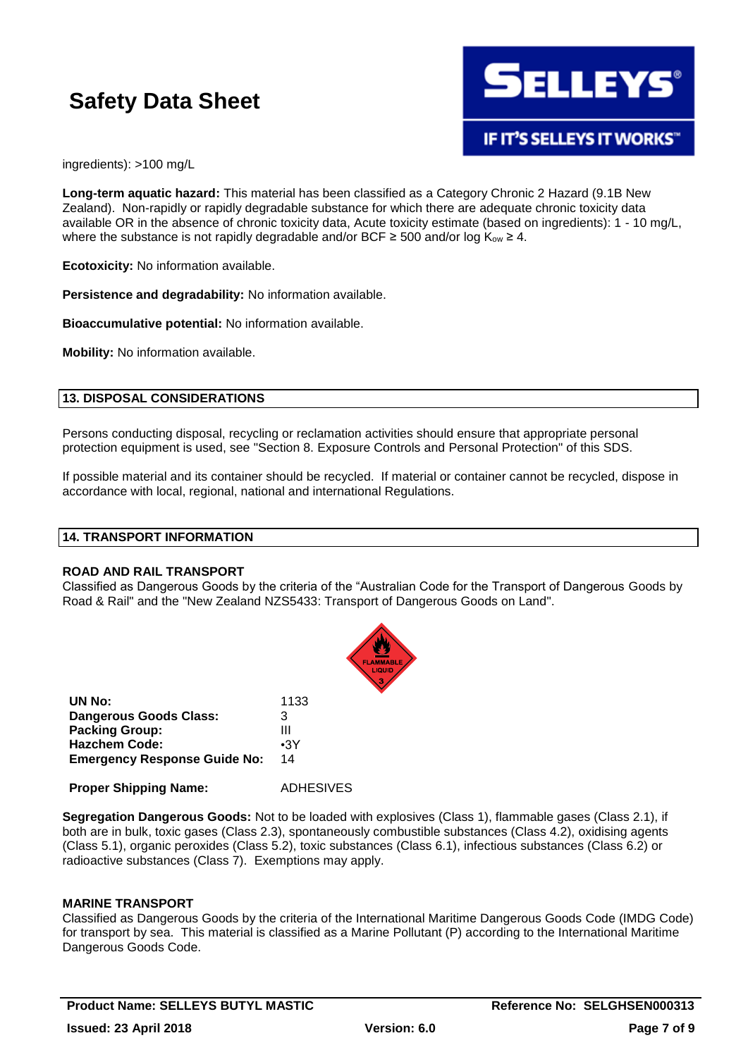

ingredients): >100 mg/L

**Long-term aquatic hazard:** This material has been classified as a Category Chronic 2 Hazard (9.1B New Zealand). Non-rapidly or rapidly degradable substance for which there are adequate chronic toxicity data available OR in the absence of chronic toxicity data, Acute toxicity estimate (based on ingredients): 1 - 10 mg/L, where the substance is not rapidly degradable and/or BCF  $\geq$  500 and/or log K<sub>ow</sub>  $\geq$  4.

**Ecotoxicity:** No information available.

**Persistence and degradability:** No information available.

**Bioaccumulative potential:** No information available.

**Mobility:** No information available.

### **13. DISPOSAL CONSIDERATIONS**

Persons conducting disposal, recycling or reclamation activities should ensure that appropriate personal protection equipment is used, see "Section 8. Exposure Controls and Personal Protection" of this SDS.

If possible material and its container should be recycled. If material or container cannot be recycled, dispose in accordance with local, regional, national and international Regulations.

### **14. TRANSPORT INFORMATION**

#### **ROAD AND RAIL TRANSPORT**

Classified as Dangerous Goods by the criteria of the "Australian Code for the Transport of Dangerous Goods by Road & Rail" and the "New Zealand NZS5433: Transport of Dangerous Goods on Land".



| UN No:                              | 1133       |
|-------------------------------------|------------|
| <b>Dangerous Goods Class:</b>       | з          |
| <b>Packing Group:</b>               | Ш          |
| <b>Hazchem Code:</b>                | $\cdot$ 3Y |
| <b>Emergency Response Guide No:</b> | 14         |
|                                     |            |

**Proper Shipping Name:** ADHESIVES

**Segregation Dangerous Goods:** Not to be loaded with explosives (Class 1), flammable gases (Class 2.1), if both are in bulk, toxic gases (Class 2.3), spontaneously combustible substances (Class 4.2), oxidising agents (Class 5.1), organic peroxides (Class 5.2), toxic substances (Class 6.1), infectious substances (Class 6.2) or radioactive substances (Class 7). Exemptions may apply.

### **MARINE TRANSPORT**

Classified as Dangerous Goods by the criteria of the International Maritime Dangerous Goods Code (IMDG Code) for transport by sea. This material is classified as a Marine Pollutant (P) according to the International Maritime Dangerous Goods Code.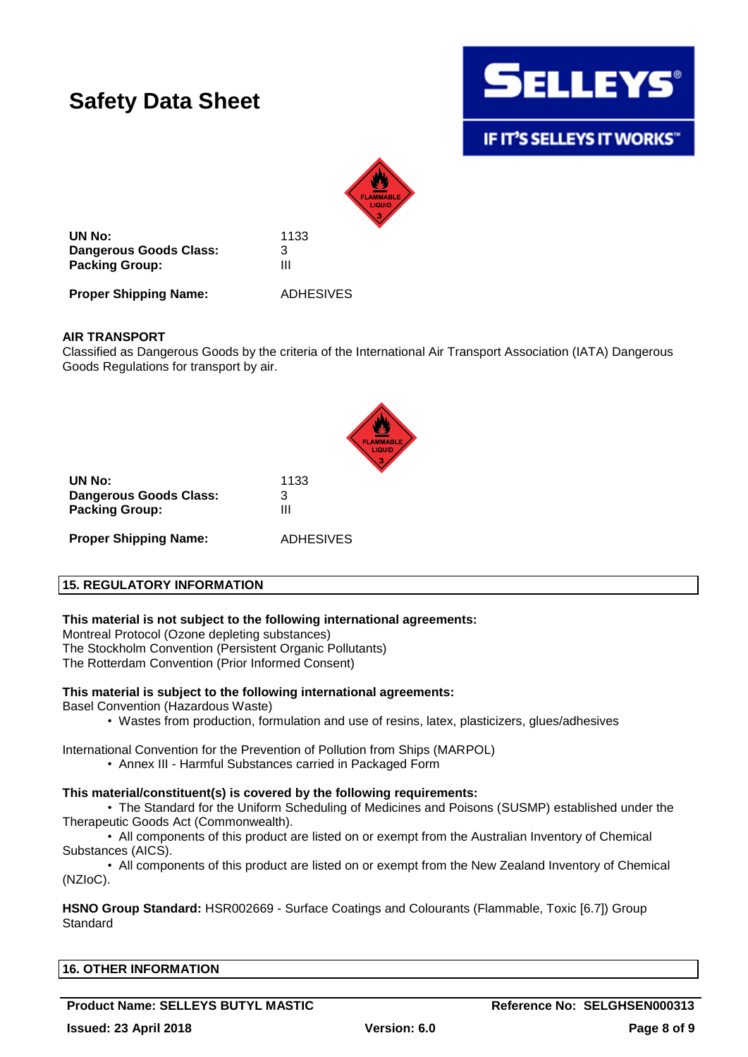

**IF IT'S SELLEYS IT WORKS"** 



**UN No:** 1133 **Dangerous Goods Class:** 3 **Packing Group:** III

**Proper Shipping Name:** ADHESIVES

### **AIR TRANSPORT**

Classified as Dangerous Goods by the criteria of the International Air Transport Association (IATA) Dangerous Goods Regulations for transport by air.



**UN No:** 1133 **Dangerous Goods Class:** 3 **Packing Group:** III **Proper Shipping Name:** ADHESIVES

### **15. REGULATORY INFORMATION**

### **This material is not subject to the following international agreements:**

Montreal Protocol (Ozone depleting substances) The Stockholm Convention (Persistent Organic Pollutants) The Rotterdam Convention (Prior Informed Consent)

#### **This material is subject to the following international agreements:**

Basel Convention (Hazardous Waste)

• Wastes from production, formulation and use of resins, latex, plasticizers, glues/adhesives

International Convention for the Prevention of Pollution from Ships (MARPOL)

• Annex III - Harmful Substances carried in Packaged Form

#### **This material/constituent(s) is covered by the following requirements:**

• The Standard for the Uniform Scheduling of Medicines and Poisons (SUSMP) established under the Therapeutic Goods Act (Commonwealth).

• All components of this product are listed on or exempt from the Australian Inventory of Chemical Substances (AICS).

• All components of this product are listed on or exempt from the New Zealand Inventory of Chemical (NZIoC).

**HSNO Group Standard:** HSR002669 - Surface Coatings and Colourants (Flammable, Toxic [6.7]) Group **Standard** 

### **16. OTHER INFORMATION**